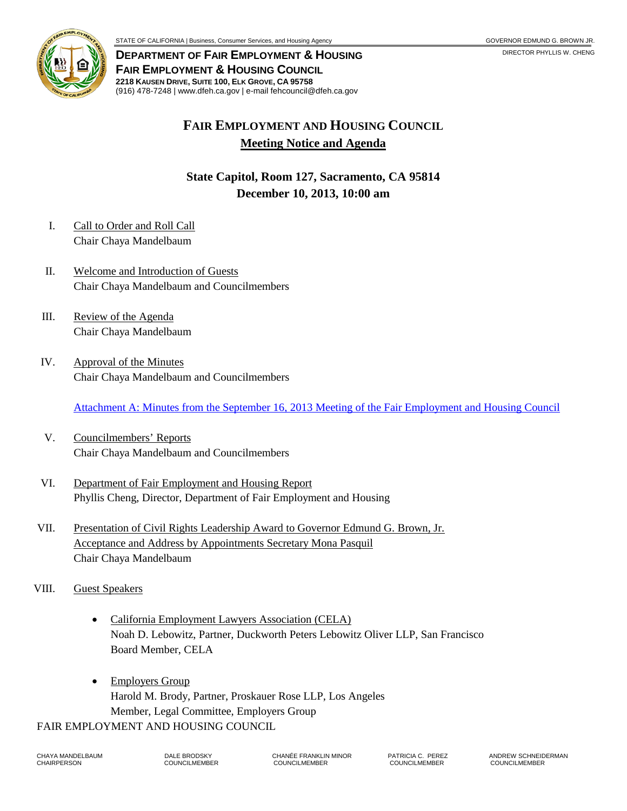

**DEPARTMENT OF FAIR EMPLOYMENT & HOUSING FAIR EMPLOYMENT & HOUSING COUNCIL 2218 KAUSEN DRIVE, SUITE 100, ELK GROVE, CA 95758** (916) 478-7248 | www.dfeh.ca.gov | e-mail fehcouncil@dfeh.ca.gov

## **FAIR EMPLOYMENT AND HOUSING COUNCIL Meeting Notice and Agenda**

**State Capitol, Room 127, Sacramento, CA 95814 December 10, 2013, 10:00 am** 

- I. Call to Order and Roll Call Chair Chaya Mandelbaum
- II. Welcome and Introduction of Guests Chair Chaya Mandelbaum and Councilmembers
- III. Review of the Agenda Chair Chaya Mandelbaum
- IV. Approval of the Minutes Chair Chaya Mandelbaum and Councilmembers

[Attachment A: Minutes from the September 16, 2013 Meeting of the Fair Employment and Housing Council](/wp-content/uploads/sites/32/2017/06/AttachA-2013Dec10.pdf)

- V. Councilmembers' Reports Chair Chaya Mandelbaum and Councilmembers
- VI. Department of Fair Employment and Housing Report Phyllis Cheng, Director, Department of Fair Employment and Housing
- VII. Presentation of Civil Rights Leadership Award to Governor Edmund G. Brown, Jr. Acceptance and Address by Appointments Secretary Mona Pasquil Chair Chaya Mandelbaum
- VIII. Guest Speakers
	- California Employment Lawyers Association (CELA) Noah D. Lebowitz, Partner, Duckworth Peters Lebowitz Oliver LLP, San Francisco Board Member, CELA
	- Employers Group Harold M. Brody, Partner, Proskauer Rose LLP, Los Angeles Member, Legal Committee, Employers Group

FAIR EMPLOYMENT AND HOUSING COUNCIL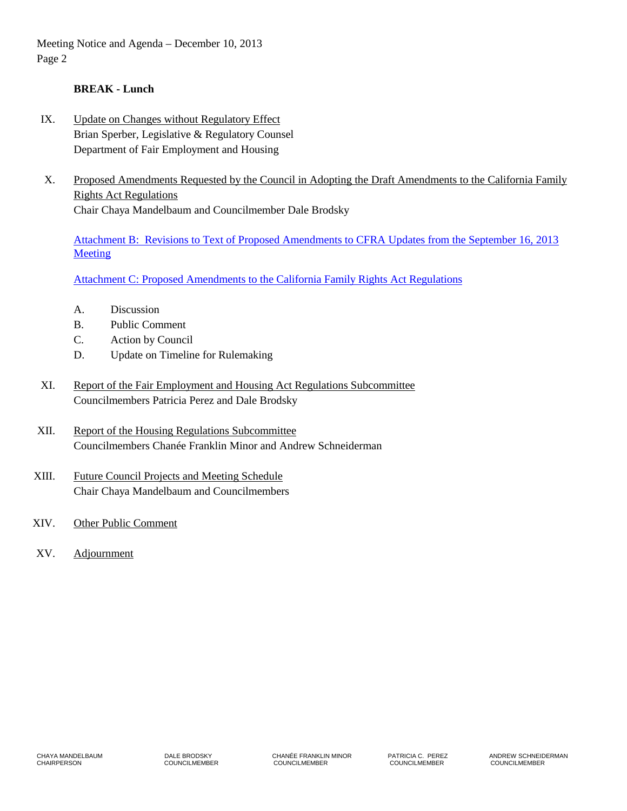Meeting Notice and Agenda – December 10, 2013 Page 2

## **BREAK - Lunch**

- IX. Update on Changes without Regulatory Effect Brian Sperber, Legislative & Regulatory Counsel Department of Fair Employment and Housing
- X. Proposed Amendments Requested by the Council in Adopting the Draft Amendments to the California Family Rights Act Regulations Chair Chaya Mandelbaum and Councilmember Dale Brodsky

[Attachment B: Revisions to Text of Proposed Amendments to CFRA Updates from the September 16, 2013](/wp-content/uploads/sites/32/2017/06/AttachB-2013Dec10.pdf)  **Meeting** 

[Attachment C: Proposed Amendments to the California Family Rights Act Regulations](/wp-content/uploads/sites/32/2017/06/AttachC-2013Dec10.pdf)

- A. Discussion
- B. Public Comment
- C. Action by Council
- D. Update on Timeline for Rulemaking
- XI. Report of the Fair Employment and Housing Act Regulations Subcommittee Councilmembers Patricia Perez and Dale Brodsky
- XII. Report of the Housing Regulations Subcommittee Councilmembers Chanée Franklin Minor and Andrew Schneiderman
- XIII. Future Council Projects and Meeting Schedule Chair Chaya Mandelbaum and Councilmembers
- XIV. Other Public Comment
- XV. Adjournment